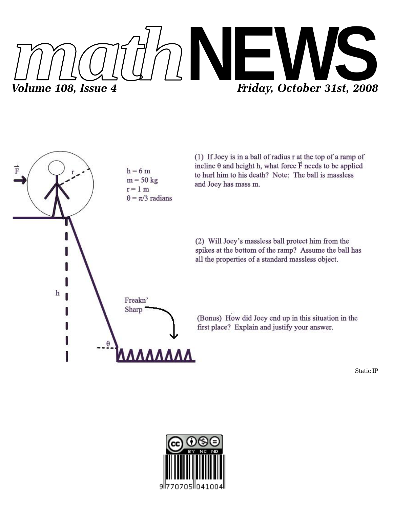



(1) If Joey is in a ball of radius r at the top of a ramp of incline  $\theta$  and height h, what force  $\vec{F}$  needs to be applied to hurl him to his death? Note: The ball is massless and Joey has mass m.

(2) Will Joey's massless ball protect him from the spikes at the bottom of the ramp? Assume the ball has all the properties of a standard massless object.

(Bonus) How did Joey end up in this situation in the first place? Explain and justify your answer.

Static IP

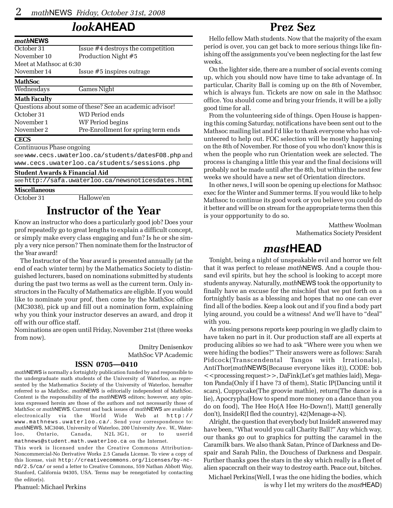# *look***AHEAD**

| mathNEWS                                  |                                                         |
|-------------------------------------------|---------------------------------------------------------|
| October $31$                              | Issue #4 destroys the competition                       |
| November 10                               | Production Night #5                                     |
| Meet at Mathsoc at 6:30                   |                                                         |
| November 14                               | Issue #5 inspires outrage                               |
| <b>MathSoc</b>                            |                                                         |
| Wednesdays                                | <b>Games Night</b>                                      |
| <b>Math Faculty</b>                       |                                                         |
|                                           | Questions about some of these? See an academic advisor! |
| October 31                                | WD Period ends                                          |
| November 1                                | WF Period begins                                        |
| November 2                                | Pre-Enrollment for spring term ends                     |
| <b>CECS</b>                               |                                                         |
| Continuous Phase ongoing                  |                                                         |
|                                           | see www.cecs.uwaterloo.ca/students/datesF08.phpand      |
|                                           | www.cecs.uwaterloo.ca/students/sessions.php             |
| <b>Student Awards &amp; Financial Aid</b> |                                                         |
|                                           | see http://safa.uwaterloo.ca/newsnoticesdates.html      |

**Miscellaneous**

October 31 Hallowe'en

## **Instructor of the Year**

Know an instructor who does a particularly good job? Does your prof repeatedly go to great lengths to explain a difficult concept, or simply make every class engaging and fun? Is he or she simply a very nice person? Then nominate them for the Instructor of the Year award!

The Instructor of the Year award is presented annually (at the end of each winter term) by the Mathematics Society to distinguished lecturers, based on nominations submitted by students during the past two terms as well as the current term. Only instructors in the Faculty of Mathematics are eligible. If you would like to nominate your prof, then come by the MathSoc office (MC3038), pick up and fill out a nomination form, explaining why you think your instructor deserves an award, and drop it off with our office staff.

Nominations are open until Friday, November 21st (three weeks from now).

> Dmitry Denisenkov MathSoc VP Academic

#### **ISSN 0705—0410**

*math*NEWS is normally a fortnightly publication funded by and responsible to the undergraduate math students of the University of Waterloo, as represented by the Mathematics Society of the University of Waterloo, hereafter referred to as MathSoc. *math*NEWS is editorially independent of MathSoc. Content is the responsibility of the *math*NEWS editors; however, any opinions expressed herein are those of the authors and not necessarily those of MathSoc or *math*NEWS. Current and back issues of *math*NEWS are available electronically via the World Wide Web at http:// www.mathnews.uwaterloo.ca/. Send your correspondence to: *math*NEWS, MC3046, University of Waterloo, 200 University Ave. W., Waterloo, Ontario, Canada, N2L 3G1, or to userid mathnews@student.math.uwaterloo.ca on the Internet.

This work is licensed under the Creative Commons Attribution-Noncommercial-No Derivative Works 2.5 Canada License. To view a copy of this license, visit http://creativecommons.org/licenses/by-ncnd/2.5/ca/ or send a letter to Creative Commons, 559 Nathan Abbott Way, Stanford, California 94305, USA. Terms may be renegotiated by contacting the editor(s).

Phanuel: Michael Perkins

# **Prez Sez**

Hello fellow Math students. Now that the majority of the exam period is over, you can get back to more serious things like finishing off the assignments you've been neglecting for the last few weeks.

On the lighter side, there are a number of social events coming up, which you should now have time to take advantage of. In particular, Charity Ball is coming up on the 8th of November, which is always fun. Tickets are now on sale in the Mathsoc office. You should come and bring your friends, it will be a jolly good time for all.

From the volunteering side of things. Open House is happening this coming Saturday, notifications have been sent out to the Mathsoc mailing list and I'd like to thank everyone who has volunteered to help out. FOC selection will be mostly happening on the 8th of November. For those of you who don't know this is when the people who run Orientation week are selected. The process is changing a little this year and the final decisions will probably not be made until after the 8th, but within the next few weeks we should have a new set of Orientation directors.

In other news, I will soon be opening up elections for Mathsoc exec for the Winter and Summer terms. If you would like to help Mathsoc to continue its good work or you believe you could do it better and will be on stream for the appropriate terms then this is your oppportunity to do so.

> Matthew Woolman Mathematics Society President

# *mast***HEAD**

Tonight, being a night of unspeakable evil and horror we felt that it was perfect to release *math*NEWS. And a couple thousand evil spirits, but hey the school is looking to accept more students anyway. Naturally, *math*NEWS took the opportunity to finally have an excuse for the mischief that we put forth on a fortnightly basis as a blessing and hopes that no one can ever find all of the bodies. Keep a look out and if you find a body part lying around, you could be a witness! And we'll have to "deal" with you.

As missing persons reports keep pouring in we gladly claim to have taken no part in it. Our production staff are all experts at producing alibies so we had to ask "Where were you when we were hiding the bodies?" Their answers were as follows: Sarah Pidcock(Transcendental Tangos with Irrationals), AntiThor(*math*NEWS(Because everyone likes it)), CODE: bob <<processing request>>, DaFink(Let's get mathies laid), Megaton Panda(Only if I have ?3 of them), Static IP(Dancing until it scars), Cuppycake(The groovie mathie), return(The dance is a lie), Apocrypha(How to spend more money on a dance than you do on food), The Hee Ho(A Hee Ho-Down!), Matt(I generally don't), InsideR(I fled the country), 42(Menage-a-N).

Alright, the question that everybody but InsideR answered may have been, "What would you call Charity Ball?" Any which way, our thanks go out to graphics for putting the caramel in the Caramilk bars. We also thank Satan, Prince of Darkness and Despair and Sarah Palin, the Douchess of Darkness and Despair. Further thanks goes the stars in the sky which really is a fleet of alien spacecraft on their way to destroy earth. Peace out, bitches.

Michael Perkins(Well, I was the one hiding the bodies, which is why I let my writers do the *mast*HEAD)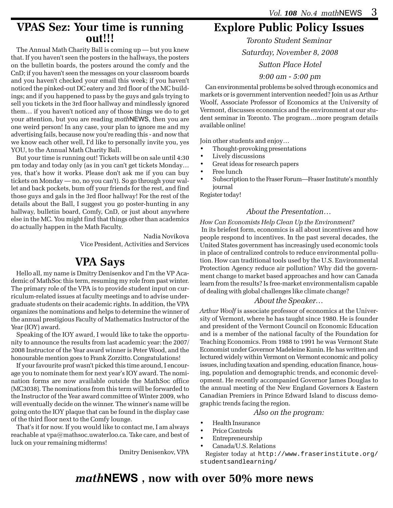### **VPAS Sez: Your time is running out!!!**

The Annual Math Charity Ball is coming up — but you knew that. If you haven't seen the posters in the hallways, the posters on the bulletin boards, the posters around the comfy and the CnD; if you haven't seen the messages on your classroom boards and you haven't checked your email this week; if you haven't noticed the pinked-out DC eatery and 3rd floor of the MC buildings; and if you happened to pass by the guys and gals trying to sell you tickets in the 3rd floor hallway and mindlessly ignored them… if you haven't noticed any of those things we do to get your attention, but you are reading *math*NEWS, then you are one weird person! In any case, your plan to ignore me and my advertising fails, because now you're reading this - and now that we know each other well, I'd like to personally invite you, yes YOU, to the Annual Math Charity Ball.

But your time is running out! Tickets will be on sale until 4:30 pm today and today only (as in you can't get tickets Monday… yes, that's how it works. Please don't ask me if you can buy tickets on Monday — no, no you can't). So go through your wallet and back pockets, bum off your friends for the rest, and find those guys and gals in the 3rd floor hallway! For the rest of the details about the Ball, I suggest you go poster-hunting in any hallway, bulletin board, Comfy, CnD, or just about anywhere else in the MC. You might find that things other than academics do actually happen in the Math Faculty.

> Nadia Novikova Vice President, Activities and Services

# **VPA Says**

Hello all, my name is Dmitry Denisenkov and I'm the VP Academic of MathSoc this term, resuming my role from past winter. The primary role of the VPA is to provide student input on curriculum-related issues at faculty meetings and to advise undergraduate students on their academic rights. In addition, the VPA organizes the nominations and helps to determine the winner of the annual prestigious Faculty of Mathematics Instructor of the Year (IOY) award.

Speaking of the IOY award, I would like to take the opportunity to announce the results from last academic year: the 2007/ 2008 Instructor of the Year award winner is Peter Wood, and the honourable mention goes to Frank Zorzitto. Congratulations!

If your favourite prof wasn't picked this time around, I encourage you to nominate them for next year's IOY award. The nomination forms are now available outside the MathSoc office (MC3038). The nominations from this term will be forwarded to the Instructor of the Year award committee of Winter 2009, who will eventually decide on the winner. The winner's name will be going onto the IOY plaque that can be found in the display case of the third floor next to the Comfy lounge.

That's it for now. If you would like to contact me, I am always reachable at vpa@mathsoc.uwaterloo.ca. Take care, and best of luck on your remaining midterms!

Dmitry Denisenkov, VPA

# **Explore Public Policy Issues**

*Toronto Student Seminar Saturday, November 8, 2008 Sutton Place Hotel*

#### *9:00 am - 5:00 pm*

Can environmental problems be solved through economics and markets or is government intervention needed? Join us as Arthur Woolf, Associate Professor of Economics at the University of Vermont, discusses economics and the environment at our student seminar in Toronto. The program…more program details available online!

Join other students and enjoy…

- Thought-provoking presentations
- Lively discussions
- Great ideas for research papers
- Free lunch
- Subscription to the Fraser Forum—Fraser Institute's monthly journal

Register today!

#### *About the Presentation…*

*How Can Economists Help Clean Up the Environment?* In its briefest form, economics is all about incentives and how people respond to incentives. In the past several decades, the United States government has increasingly used economic tools in place of centralized controls to reduce environmental pollution. How can traditional tools used by the U.S. Environmental Protection Agency reduce air pollution? Why did the government change to market based approaches and how can Canada learn from the results? Is free-market environmentalism capable of dealing with global challenges like climate change?

#### *About the Speaker…*

*Arthur Woolf* is associate professor of economics at the University of Vermont, where he has taught since 1980. He is founder and president of the Vermont Council on Economic Education and is a member of the national faculty of the Foundation for Teaching Economics. From 1988 to 1991 he was Vermont State Economist under Governor Madeleine Kunin. He has written and lectured widely within Vermont on Vermont economic and policy issues, including taxation and spending, education finance, housing, population and demographic trends, and economic development. He recently accompanied Governor James Douglas to the annual meeting of the New England Governors & Eastern Canadian Premiers in Prince Edward Island to discuss demographic trends facing the region.

#### *Also on the program:*

- Health Insurance
- Price Controls
- Entrepreneurship
- Canada/U.S. Relations

Register today at http://www.fraserinstitute.org/ studentsandlearning/

# *math***NEWS , now with over 50% more news**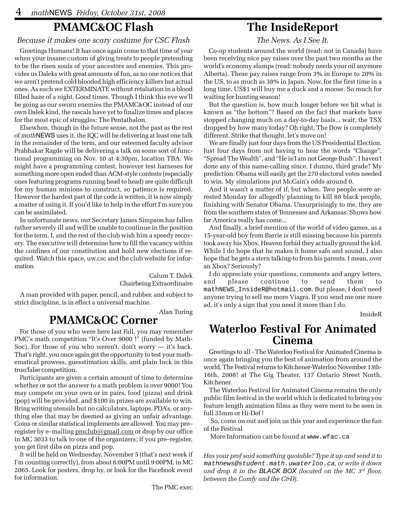## **PMAMC&OC Flash**

#### *Because it makes one scary costume for CSC Flash*

Greetings Humans! It has once again come to that time of year when your insane custom of giving treats to people pretending to be the risen souls of your ancestors and enemies. This provides us Daleks with great amounts of fun, as no one notices that we aren't pretend cold blooded high efficiency killers but actual ones. As such we EXTERMINATE without retaliation in a blood filled haze of a night. Good times. Though I think this eve we'll be going as our sworn enemies the PMAMC&OC instead of our own Dalek kind, the rascals have yet to finalize times and places for the most epic of struggles: The Pentathalon.

Elsewhen, though in the future sense, not the past as the rest of *math*NEWS uses it, the IQC will be delivering at least one talk in the remainder of the term, and our esteemed faculty advisor Prabhakar Ragde will be delivering a talk on some sort of functional programming on Nov. 10 at 4:30pm, location TBA. We might have a programming contest, however test harneses for something more open ended than ACM-style contests (especially ones featuring programs running head to head) are quite difficult for my human minions to construct, so patience is required. However the hardest part of the code is written, it is now simply a matter of using it. If you'd like to help in the effort I'm sure you can be assimilated.

In unfortunate news, our Secretary James Simpson has fallen rather severely ill and will be unable to continue in the position for the term. I, and the rest of the club wish him a speedy recovery. The executive will determine how to fill the vacancy within the confines of our constitution and hold new elections if required. Watch this space, uw.csc and the club website for information

> Calum T. Dalek Chairbeing Extraordinaire

A man provided with paper, pencil, and rubber, and subject to strict discipline, is in effect a universal machine.

Alan Turing

# **PMAMC&OC Corner**

For those of you who were here last Fall, you may remember PMC's math competition "It's Over 9000 !" (funded by Math-Soc). For those of you who weren't, don't worry — it's back. That's right, you once again get the opportunity to test your mathematical prowess, guesstimation skills, and plain luck in this true/false competition.

Participants are given a certain amount of time to determine whether or not the answer to a math problem is over 9000! You may compete on your own or in pairs, food (pizza) and drink (pop) will be provided, and \$100 in prizes are available to win. Bring writing utensils but no calculators, laptops, PDA's, or anything else that may be deemed as giving an unfair advantage. Coins or similar statistical implements are allowed. You may pre– register by e–mailing pmclub@gmail.com or drop by our office in MC 3033 to talk to one of the organizers; if you pre–register, you get first dibs on pizza and pop.

It will be held on Wednesday, November 5 (that's next week if I'm counting correctly), from about 6:00PM until 9:00PM, in MC 2065. Look for posters, drop by, or look for the Facebook event for information.

# **The InsideReport**

*The News. As I See It.*

Co-op students around the world (read: not in Canada) have been receiving nice pay raises over the past two months as the world's economy slumps (read: nobody needs your oil anymore Alberta). These pay raises range from 3% in Europe to 20% in the US, to as much as 38% in Japan. Now, for the first time in a long time, US\$1 will buy me a duck and a moose. So much for waiting for hunting season!

But the question is, how much longer before we hit what is known as "the bottom"? Based on the fact that markets have stopped changing much on a day-to-day basis... wait, the TSX dropped by how many today? Oh right, The Dow is completely different. Strike that thought, let's move on!

We are finally just four days from the US Presidential Election. Just four days from not having to hear the words "Change", "Spread The Wealth", and "He is/I am not George Bush". I haven't done any of this name-calling since, I dunno, third grade? My prediction: Obama will easily get the 270 electoral votes needed to win. My simulations put McCain's odds around 0.

And it wasn't a matter of if, but when. Two people were arrested Monday for allegedly planning to kill 88 black people, finishing with Senator Obama. Unsurprisingly to me, they are from the southern states of Tennessee and Arkansas. Shows how far America really has come...

And finally, a brief mention of the world of video games, as a 15-year-old boy from Barrie is still missing because his parents took away his Xbox. Heaven forbid they actually ground the kid. While I do hope that he makes it home safe and sound, I also hope that he gets a stern talking-to from his parents. I mean, over an Xbox? Seriously?

I do appreciate your questions, comments and angry letters, and please continue to send them to mathNEWS\_InsideR@hotmail.com. But please, I don't need anyone trying to sell me more Viagra. If you send me one more ad, it's only a sign that you need it more than I do.

InsideR

### **Waterloo Festival For Animated Cinema**

Greetings to all - The Waterloo Festival for Animated Cinema is once again bringing you the best of animation from around the world. The Festival returns to Kitchener-Waterloo November 13th-16th, 2008! at The Gig Theater, 137 Ontario Street North, Kitchener.

The Waterloo Festival for Animated Cinema remains the only public film festival in the world which is dedicated to bring you feature length animation films as they were ment to be seen in full 35mm or Hi-Def !

 So, come on out and join us this year and experience the fun of the Festival

More Information can be found at www.wfac.ca

*Has your prof said something quotable? Type it up and send it to* mathnews@student.math.uwaterloo.ca*, or write it down and drop it in the BLACK BOX (located on the MC 3rd floor, between the Comfy and the C&D).*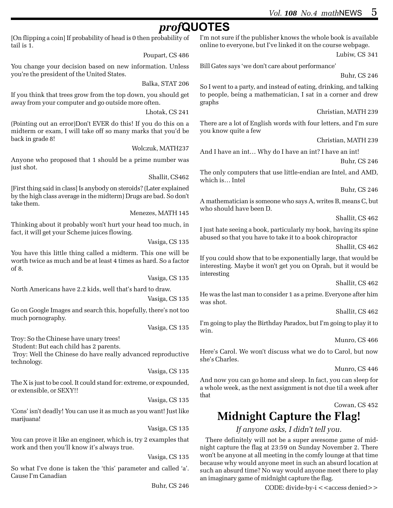# *prof***QUOTES**

[On flipping a coin] If probability of head is 0 then probability of tail is 1.

Poupart, CS 486

You change your decision based on new information. Unless you're the president of the United States.

Balka, STAT 206

If you think that trees grow from the top down, you should get away from your computer and go outside more often.

Lhotak, CS 241

(Pointing out an error)Don't EVER do this! If you do this on a midterm or exam, I will take off so many marks that you'd be back in grade 8!

Wolczuk, MATH237

Anyone who proposed that 1 should be a prime number was just shot.

Shallit, CS462

[First thing said in class] Is anybody on steroids? (Later explained by the high class average in the midterm) Drugs are bad. So don't take them.

Menezes, MATH 145

Thinking about it probably won't hurt your head too much, in fact, it will get your Scheme juices flowing.

Vasiga, CS 135

You have this little thing called a midterm. This one will be worth twice as much and be at least 4 times as hard. So a factor of 8.

Vasiga, CS 135

North Americans have 2.2 kids, well that's hard to draw.

Vasiga, CS 135

Go on Google Images and search this, hopefully, there's not too much pornography.

Vasiga, CS 135

Troy: So the Chinese have unary trees!

Student: But each child has 2 parents.

 Troy: Well the Chinese do have really advanced reproductive technology.

Vasiga, CS 135

The X is just to be cool. It could stand for: extreme, or expounded, or extensible, or SEXY!!

Vasiga, CS 135

'Cons' isn't deadly! You can use it as much as you want! Just like marijuana!

Vasiga, CS 135

You can prove it like an engineer, which is, try 2 examples that work and then you'll know it's always true.

Vasiga, CS 135

So what I've done is taken the 'this' parameter and called 'a'. Cause I'm Canadian

Buhr, CS 246

I'm not sure if the publisher knows the whole book is available online to everyone, but I've linked it on the course webpage.

Lubiw, CS 341

Bill Gates says 'we don't care about performance'

Buhr, CS 246

So I went to a party, and instead of eating, drinking, and talking to people, being a mathematician, I sat in a corner and drew graphs

Christian, MATH 239

There are a lot of English words with four letters, and I'm sure you know quite a few

Christian, MATH 239

And I have an int… Why do I have an int? I have an int!

Buhr, CS 246

The only computers that use little-endian are Intel, and AMD, which is… Intel

Buhr, CS 246

A mathematician is someone who says A, writes B, means C, but who should have been D.

Shallit, CS 462

I just hate seeing a book, particularly my book, having its spine abused so that you have to take it to a book chiropractor

Shallit, CS 462

If you could show that to be exponentially large, that would be interesting. Maybe it won't get you on Oprah, but it would be interesting

Shallit, CS 462

He was the last man to consider 1 as a prime. Everyone after him was shot.

Shallit, CS 462

I'm going to play the Birthday Paradox, but I'm going to play it to win.

Munro, CS 466

Here's Carol. We won't discuss what we do to Carol, but now she's Charles.

Munro, CS 446

And now you can go home and sleep. In fact, you can sleep for a whole week, as the next assignment is not due til a week after that

Cowan, CS 452

# **Midnight Capture the Flag!**

*If anyone asks, I didn't tell you.*

There definitely will not be a super awesome game of midnight capture the flag at 23:59 on Sunday November 2. There won't be anyone at all meeting in the comfy lounge at that time because why would anyone meet in such an absurd location at such an absurd time? No way would anyone meet there to play an imaginary game of midnight capture the flag.

CODE: divide-by-i <<access denied>>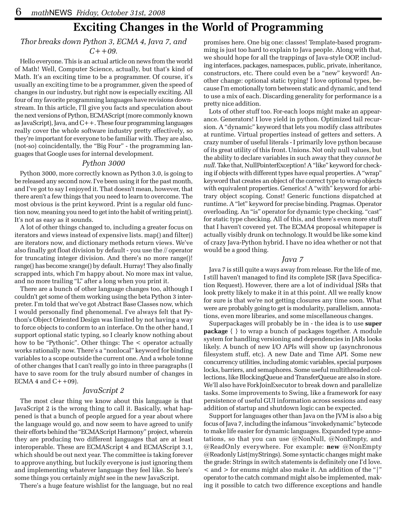# **Exciting Changes in the World of Programming**

#### *Thor breaks down Python 3, ECMA 4, Java 7, and C++09.*

Hello everyone. This is an actual article on news from the world of Math! Well, Computer Science, actually, but that's kind of Math. It's an exciting time to be a programmer. Of course, it's usually an exciting time to be a programmer, given the speed of changes in our industry, but right now is especially exciting. All four of my favorite programming languages have revisions downstream. In this article, I'll give you facts and speculation about the next versions of Python, ECMAScript (more commonly known as JavaScript), Java, and C++. These four programming languages really cover the whole software industry pretty effectively, so they're important for everyone to be familiar with. They are also, (not-so) coincidentally, the "Big Four" - the programming languages that Google uses for internal development.

#### *Python 3000*

Python 3000, more correctly known as Python 3.0, is going to be released any second now. I've been using it for the past month, and I've got to say I enjoyed it. That doesn't mean, however, that there aren't a few things that you need to learn to overcome. The most obvious is the print keyword. Print is a regular old function now, meaning you need to get into the habit of writing print(). It's not as easy as it sounds.

A lot of other things changed to, including a greater focus on iterators and views instead of expensive lists. map() and filter() are iterators now, and dictionary methods return views. We've also finally got float division by default - you use the // operator for truncating integer division. And there's no more range()! range() has become xrange() by default. Hurray! They also finally scrapped ints, which I'm happy about. No more max int value, and no more trailing "L" after a long when you print it.

There are a bunch of other language changes too, although I couldn't get some of them working using the beta Python 3 interpreter. I'm told that we've got Abstract Base Classes now, which I would personally find phenomenal. I've always felt that Python's Object Oriented Design was limited by not having a way to force objects to conform to an interface. On the other hand, I support optional static typing, so I clearly know nothing about how to be "Pythonic". Other things: The < operator actually works rationally now. There's a "nonlocal" keyword for binding variables to a scope outside the current one. And a whole tonne of other changes that I can't really go into in three paragraphs (I have to save room for the truly absurd number of changes in ECMA 4 and  $C++09$ ).

#### *JavaScript 2*

The most clear thing we know about this language is that JavaScript 2 is the wrong thing to call it. Basically, what happened is that a bunch of people argued for a year about where the language would go, and now seem to have agreed to unify their efforts behind the "ECMAScript Harmony" project, wherein they are producing two different languages that are at least interoperable. These are ECMAScript 4 and ECMAScript 3.1, which should be out next year. The committee is taking forever to approve anything, but luckily everyone is just ignoring them and implementing whatever language they feel like. So here's some things you certainly *might* see in the new JavaScript.

There's a huge feature wishlist for the language, but no real

promises here. One big one: classes! Template-based programming is just too hard to explain to Java people. Along with that, we should hope for all the trappings of Java-style OOP, including interfaces, packages, namespaces, public, private, inheritance, constructors, etc. There could even be a "new" keyword! Another change: optional static typing! I love optional types, because I'm emotionally torn between static and dynamic, and tend to use a mix of each. Discarding generality for performance is a pretty nice addition.

Lots of other stuff too. For-each loops might make an appearance. Generators! I love yield in python. Optimized tail recursion. A "dynamic" keyword that lets you modify class attributes at runtime. Virtual properties instead of getters and setters. A crazy number of useful literals - I primarily love python because of its great utility of this front. Unions. Not only null values, but the ability to declare variables in such away that they *cannot be null*. Take that, NullPointerException! A "like" keyword for checking if objects with different types have equal properties. A "wrap" keyword that creates an object of the correct type to wrap objects with equivalent properties. Generics! A "with" keyword for arbitrary object scoping. Const! Generic functions dispatched at runtime. A "let" keyword for precise binding. Pragmas. Operator overloading. An "is" operator for dynamic type checking. "cast" for static type checking. All of this, and there's even more stuff that I haven't covered yet. The ECMA4 proposal whitepaper is actually visibly drunk on technology. It would be like some kind of crazy Java-Python hybrid. I have no idea whether or not that would be a good thing.

#### *Java 7*

Java 7 is still quite a ways away from release. For the life of me, I still haven't managed to find its complete JSR (Java Specification Request). However, there are a lot of individual JSRs that look pretty likely to make it in at this point. All we really know for sure is that we're not getting closures any time soon. What were are probably going to get is modularity, parallelism, annotations, even more libraries, and some miscellaneous changes.

Superpackages will probably be in - the idea is to use **super package** { } to wrap a bunch of packages together. A module system for handling versioning and dependencies in JARs looks likely. A bunch of new I/O APIs will show up (asynchronous filesystem stuff, etc). A new Date and Time API. Some new concurrency utilities, including atomic variables, special purposes locks, barriers, and semaphores. Some useful multithreaded collections, like BlockingQueue and TransferQueue are also in store. We'll also have ForkJoinExecutor to break down and parallelize tasks. Some improvements to Swing, like a framework for easy persistence of useful GUI information across sessions and easy addition of startup and shutdown logic can be expected.

Support for languages other than Java on the JVM is also a big focus of Java 7, including the infamous "invokedynamic" bytecode to make life easier for dynamic languages. Expanded type annotations, so that you can use @NonNull, @NonEmpty, and @ReadOnly everywhere. For example: **new** @NonEmpty @Readonly List(myStrings). Some syntactic changes might make the grade: Strings in switch statements is definitely one I'd love.  $\alpha$  and  $>$  for enums might also make it. An addition of the "|" operator to the catch command might also be implemented, making it possible to catch two difference exceptions and handle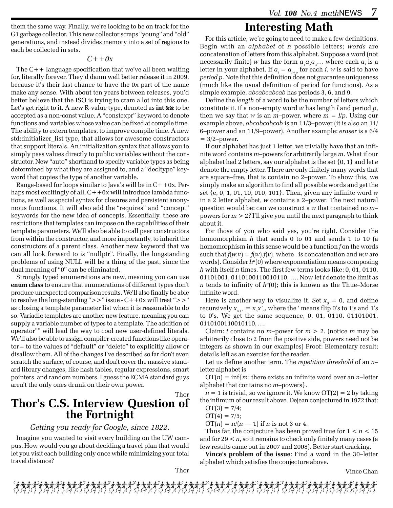them the same way. Finally, we're looking to be on track for the G1 garbage collector. This new collector scraps "young" and "old" generations, and instead divides memory into a set of regions to each be collected in sets.

#### *C++0x*

The C++ language specification that we've all been waiting for, literally forever. They'd damn well better release it in 2009, because it's their last chance to have the 0x part of the name make any sense. With about ten years between releases, you'd better believe that the ISO is trying to cram a lot into this one. Let's get right to it. A new R-value type, denoted as **int &&** to be accepted as a non-const value. A "constexpr" keyword to denote functions and variables whose value can be fixed at compile time. The ability to extern templates, to improve compile time. A new std::initializer\_list type, that allows for awesome constructors that support literals. An initialization syntax that allows you to simply pass values directly to public variables without the constructor. New "auto" shorthand to specify variable types as being determined by what they are assigned to, and a "decltype" keyword that copies the type of another variable.

Range-based for loops similar to Java's will be in  $C++0x$ . Perhaps most excitingly of all,  $C++0x$  will introduce lambda functions, as well as special syntax for closures and persistent anonymous functions. It will also add the "requires" and "concept" keywords for the new idea of concepts. Essentially, these are restrictions that templates can impose on the capabilities of their template parameters. We'll also be able to call peer constructors from within the constructor, and more importantly, to inherit the constructors of a parent class. Another new keyword that we can all look forward to is "nullptr". Finally, the longstanding problems of using NULL will be a thing of the past, since the dual meaning of "0" can be eliminated.

Strongly typed enumerations are new, meaning you can use **enum class** to ensure that enumerations of different types don't produce unexpected comparison results. We'll also finally be able to resolve the long-standing ">>" issue - C++0x will treat ">>" as closing a template parameter list when it is reasonable to do so. Variadic templates are another new feature, meaning you can supply a variable number of types to a template. The addition of operator"" will lead the way to cool new user-defined literals. We'll also be able to assign compiler-created functions like operator= to the values of "default" or "delete" to explicitly allow or disallow them. All of the changes I've described so far don't even scratch the surface, of course, and don't cover the massive standard library changes, like hash tables, regular expressions, smart pointers, and random numbers. I guess the ECMA standard guys aren't the only ones drunk on their own power.

Thor

# **Thor's C.S. Interview Question of the Fortnight**

#### *Getting you ready for Google, since 1822.*

Imagine you wanted to visit every building on the UW campus. How would you go about deciding a travel plan that would let you visit each building only once while minimizing your total travel distance?

# **Interesting Math**

For this article, we're going to need to make a few definitions. Begin with an *alphabet* of *n* possible letters; *words* are concatenation of letters from this alphabet. Suppose a word (not necessarily finite)  $w$  has the form  $a_{1}a_{2}a_{3}...$  where each  $a_{i}$  is a letter in your alphabet. If  $a_i = a_{i+p}$  for each *i*,  $w$  is said to have *period p*. Note that this definition does not guarantee uniqueness (much like the usual definition of period for functions). As a simple example, *abcabcabcab* has periods 3, 6, and 9.

Define the *length* of a word to be the number of letters which constitute it. If a non–empty word *w* has length *l* and period *p*, then we say that *w* is an *m*-power, where  $m = l/p$ . Using our example above, *abcabcabcab* is an 11/3–power (it is also an 11/ 6–power and an 11/9–power). Another example: *eraser* is a 6/4  $= 3/2$ –power.

If our alphabet has just 1 letter, we trivially have that an infinite word contains *m*–powers for arbitrarily large *m*. What if our alphabet had 2 letters, say our alphabet is the set {0, 1} and let *e* denote the empty letter. There are only finitely many words that are square–free, that is contain no 2–power. To show this, we simply make an algorithm to find all possible words and get the set {e, 0, 1, 01, 10, 010, 101}. Then, given any infinite word *w* in a 2 letter alphabet, *w* contains a 2–power. The next natural question would be: can we construct a *w* that contained no *m*– powers for *m* > 2? I'll give you until the next paragraph to think about it.

For those of you who said yes, you're right. Consider the homomorphism *h* that sends 0 to 01 and sends 1 to 10 (a homomorphism in this sense would be a function *f* on the words such that  $f(w, v) = f(w) \cdot f(v)$ , where . is concatenation and  $w, v$  are words). Consider  $h^n(0)$  where exponentiation means composing *h* with itself *n* times. The first few terms looks like: 0, 01, 0110, 01101001, 0110100110010110, …. Now let *t* denote the limit as *n* tends to infinity of  $h<sup>n</sup>(0)$ ; this is known as the Thue–Morse infinite word.

Here is another way to visualize it. Set  $x_{0} = 0$ , and define recursively  $x_{n+1} = x_n x_n$ , where the 'means flip 0's to 1's and 1's to 0's. We get the same sequence, 0, 01, 0110, 01101001, 0110100110010110, ….

Claim: *t* contains no *m*-power for  $m > 2$ . (notice *m* may be arbitrarily close to 2 from the positive side, powers need not be integers as shown in our examples) Proof: Elementary result; details left as an exercise for the reader.

Let us define another term. The *repetition threshold* of an *n*– letter alphabet is

 $OT(n) = \inf\{m: \text{there exists an infinite word over an } n\text{-letter}\}$ alphabet that contains no *m*–powers}.

 $n = 1$  is trivial, so we ignore it. We know  $OT(2) = 2$  by taking the infimum of our result above. Dejean conjectured in 1972 that:  $OT(3) = 7/4$ :

$$
OT(4) = 7/5;
$$

 $OT(n) = n/(n - 1)$  if *n* is not 3 or 4.

Thus far, the conjecture has been proved true for  $1 \le n \le 15$ and for 29 < *n*, so it remains to check only finitely many cases (a few results came out in 2007 and 2008). Better start cracking.

**Vince's problem of the issue**: Find a word in the 30–letter alphabet which satisfies the conjecture above.

Thor

Vince Chan

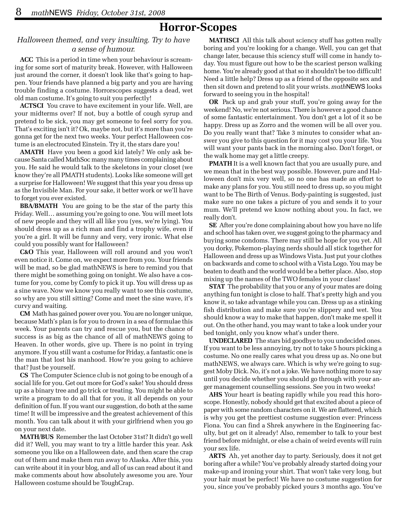## **Horror-Scopes**

#### *Halloween themed, and very insulting. Try to have a sense of humour.*

**ACC** This is a period in time when your behaviour is screaming for some sort of maturity break. However, with Halloween just around the corner, it doesn't look like that's going to happen. Your friends have planned a big party and you are having trouble finding a costume. Horrorscopes suggests a dead, wet old man costume. It's going to suit you perfectly!

**ACTSCI** You crave to have excitement in your life. Well, are your midterms over? If not, buy a bottle of cough syrup and pretend to be sick, you may get someone to feel sorry for you. That's exciting isn't it? Ok, maybe not, but it's more than you're gonna get for the next two weeks. Your perfect Halloween costume is an electrocuted Einstein. Try it, the stars dare you!

**AMATH** Have you been a good kid lately? We only ask because Santa called MathSoc many many times complaining about you. He said he would talk to the skeletons in your closet (we know they're all PMATH students). Looks like someone will get a surprise for Halloween! We suggest that this year you dress up as the Invisible Man. For your sake, it better work or we'll have to forget you ever existed.

**BBA/BMATH** You are going to be the star of the party this Friday. Well… assuming you're going to one. You will meet lots of new people and they will all like you (yes, we're lying). You should dress up as a rich man and find a trophy wife, even if you're a girl. It will be funny and very, very ironic. What else could you possibly want for Halloween?

**C&O** This year, Halloween will roll around and you won't even notice it. Come on, we expect more from you. Your friends will be mad, so be glad mathNEWS is here to remind you that there might be something going on tonight. We also have a costume for you, come by Comfy to pick it up. You will dress up as a sine wave. Now we know you really want to see this costume, so why are you still sitting? Come and meet the sine wave, it's curvy and waiting.

**CM** Math has gained power over you. You are no longer unique, because Math's plan is for you to drown in a sea of formulae this week. Your parents can try and rescue you, but the chance of success is as big as the chance of all of mathNEWS going to Heaven. In other words, give up. There is no point in trying anymore. If you still want a costume for Friday, a fantastic one is the man that lost his manhood. How're you going to achieve that? Just be yourself.

**CS** The Computer Science club is not going to be enough of a social life for you. Get out more for God's sake! You should dress up as a binary tree and go trick or treating. You might be able to write a program to do all that for you, it all depends on your definition of fun. If you want our suggestion, do both at the same time! It will be impressive and the greatest achievement of this month. You can talk about it with your girlfriend when you go on your next date.

**MATH/BUS** Remember the last October 31st? It didn't go well did it? Well, you may want to try a little harder this year. Ask someone you like on a Halloween date, and then scare the crap out of them and make them run away to Alaska. After this, you can write about it in your blog, and all of us can read about it and make comments about how absolutely awesome you are. Your Halloween costume should be ToughCrap.

**MATHSCI** All this talk about sciency stuff has gotten really boring and you're looking for a change. Well, you can get that change later, because this sciency stuff will come in handy today. You must figure out how to be the scariest person walking home. You're already good at that so it shouldn't be too difficult! Need a little help? Dress up as a friend of the opposite sex and then sit down and pretend to slit your wrists. *math*NEWS looks forward to seeing you in the hospital!

**OR** Pack up and grab your stuff, you're going away for the weekend! No, we're not serious. There is however a good chance of some fantastic entertainment. You don't get a lot of it so be happy. Dress up as Zorro and the women will be all over you. Do you really want that? Take 3 minutes to consider what answer you give to this question for it may cost you your life. You will want your pants back in the morning also. Don't forget, or the walk home may get a little creepy.

**PMATH** It is a well known fact that you are usually pure, and we mean that in the best way possible. However, pure and Halloween don't mix very well, so no one has made an effort to make any plans for you. You still need to dress up, so you might want to be The Birth of Venus. Body-painting is suggested, just make sure no one takes a picture of you and sends it to your mum. We'll pretend we know nothing about you. In fact, we really don't.

**SE** After you're done complaining about how you have no life and school has taken over, we suggest going to the pharmacy and buying some condoms. There may still be hope for you yet. All you dorky, Pokemon-playing nerds should all stick together for Halloween and dress up as Windows Vista. Just put your clothes on backwards and come to school with a Vista Logo. You may be beaten to death and the world would be a better place. Also, stop mixing up the names of the TWO females in your class!

**STAT** The probability that you or any of your mates are doing anything fun tonight is close to half. That's pretty high and you know it, so take advantage while you can. Dress up as a stinking fish distribution and make sure you're slippery and wet. You should know a way to make that happen, don't make me spell it out. On the other hand, you may want to take a look under your bed tonight, only you know what's under there.

**UNDECLARED** The stars bid goodbye to you undecided ones. If you want to be less annoying, try not to take 5 hours picking a costume. No one really cares what you dress up as. No one but mathNEWS, we always care. Which is why we're going to suggest Moby Dick. No, it's not a joke. We have nothing more to say until you decide whether you should go through with your anger management counselling sessions. See you in two weeks!

**AHS** Your heart is beating rapidly while you read this horoscope. Honestly, nobody should get that excited about a piece of paper with some random characters on it. We are flattered, which is why you get the prettiest costume suggestion ever: Princess Fiona. You can find a Shrek anywhere in the Engineering faculty, but get on it already! Also, remember to talk to your best friend before midnight, or else a chain of weird events will ruin your sex life.

**ARTS** Ah, yet another day to party. Seriously, does it not get boring after a while? You've probably already started doing your make-up and ironing your shirt. That won't take very long, but your hair must be perfect! We have no costume suggestion for you, since you've probably picked yours 3 months ago. You've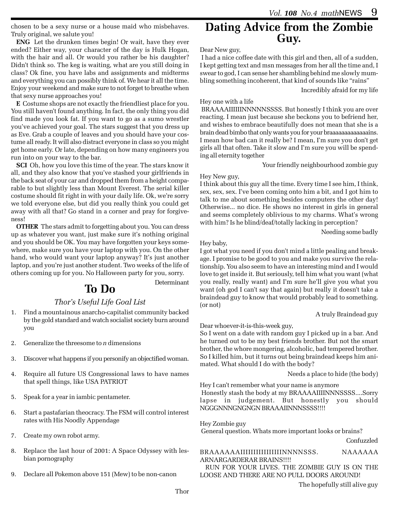chosen to be a sexy nurse or a house maid who misbehaves. Truly original, we salute you!

**ENG** Let the drunken times begin! Or wait, have they ever ended? Either way, your character of the day is Hulk Hogan, with the hair and all. Or would you rather be his daughter? Didn't think so. The keg is waiting, what are you still doing in class? Ok fine, you have labs and assignments and midterms and everything you can possibly think of. We hear it all the time. Enjoy your weekend and make sure to not forget to breathe when that sexy nurse approaches you!

**E** Costume shops are not exactly the friendliest place for you. You still haven't found anything. In fact, the only thing you did find made you look fat. If you want to go as a sumo wrestler you've achieved your goal. The stars suggest that you dress up as Eve. Grab a couple of leaves and you should have your costume all ready. It will also distract everyone in class so you might get home early. Or late, depending on how many engineers you run into on your way to the bar.

**SCI** Oh, how you love this time of the year. The stars know it all, and they also know that you've stashed your girlfriends in the back seat of your car and dropped them from a height comparable to but slightly less than Mount Everest. The serial killer costume should fit right in with your daily life. Ok, we're sorry we told everyone else, but did you really think you could get away with all that? Go stand in a corner and pray for forgiveness!

**OTHER** The stars admit to forgetting about you. You can dress up as whatever you want, just make sure it's nothing original and you should be OK. You may have forgotten your keys somewhere, make sure you have your laptop with you. On the other hand, who would want your laptop anyway? It's just another laptop, and you're just another student. Two weeks of the life of others coming up for you. No Halloween party for you, sorry.

# **To Do**

#### *Thor's Useful Life Goal List*

- 1. Find a mountainous anarcho-capitalist community backed by the gold standard and watch socialist society burn around you
- 2. Generalize the threesome to *n* dimensions
- 3. Discover what happens if you personify an objectified woman.
- 4. Require all future US Congressional laws to have names that spell things, like USA PATRIOT
- 5. Speak for a year in iambic pentameter.
- 6. Start a pastafarian theocracy. The FSM will control interest rates with His Noodly Appendage
- 7. Create my own robot army.
- 8. Replace the last hour of 2001: A Space Odyssey with lesbian pornography
- 9. Declare all Pokemon above 151 (Mew) to be non-canon

# **Dating Advice from the Zombie Guy.**

#### Dear New guy,

 I had a nice coffee date with this girl and then, all of a sudden, I kept getting text and msn messages from her all the time and, I swear to god, I can sense her shambling behind me slowly mumbling something incoherent, that kind of sounds like "rains"

Incredibly afraid for my life

#### Hey one with a life

 BRAAAAIIIIIINNNNNSSSS. But honestly I think you are over reacting. I mean just because she beckons you to befriend her, and wishes to embrace beautifully does not mean that she is a brain dead bimbo that only wants you for your braaaaaaaaaaaaains. I mean how bad can it really be? I mean, I'm sure you don't get girls all that often. Take it slow and I'm sure you will be spending all eternity together

Your friendly neighbourhood zombie guy

#### Hey New guy,

I think about this guy all the time. Every time I see him, I think, sex, sex, sex. I've been coming onto him a bit, and I got him to talk to me about something besides computers the other day! Otherwise... no dice. He shows no interest in girls in general and seems completely oblivious to my charms. What's wrong with him? Is he blind/deaf/totally lacking in perception?

Needing some badly

#### Hey baby,

Determinant

I got what you need if you don't mind a little pealing and breakage. I promise to be good to you and make you survive the relationship. You also seem to have an interesting mind and I would love to get inside it. But seriously, tell him what you want (what you really, really want) and I'm sure he'll give you what you want (oh god I can't say that again) but really it doesn't take a braindead guy to know that would probably lead to something. (or not)

#### A truly Braindead guy

Dear whoever-it-is-this-week guy,

So I went on a date with random guy I picked up in a bar. And he turned out to be my best friends brother. But not the smart brother, the whore mongering, alcoholic, bad tempered brother. So I killed him, but it turns out being braindead keeps him animated. What should I do with the body?

Needs a place to hide (the body)

Hey I can't remember what your name is anymore Honestly stash the body at my BRAAAAIIIINNNSSSS....Sorry lapse in judgement. But honestly you should NGGGNNNGNGNGN BRAAAIINNNSSSS!!!!

Hey Zombie guy General question. Whats more important looks or brains?

Confuzzled

#### BRAAAAAAIIIIIIIIIIIIIIIINNNNSSS. NAAAAAA ARNARGARDERAR BRAINS!!!!

RUN FOR YOUR LIVES. THE ZOMBIE GUY IS ON THE LOOSE AND THERE ARE NO PULL DOORS AROUND!

The hopefully still alive guy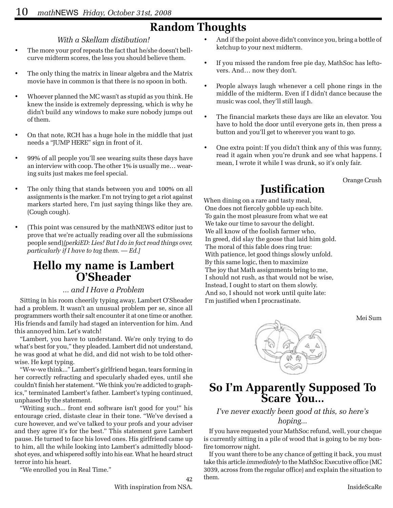# **Random Thoughts**

#### *With a Skellam distibution!*

- The more your prof repeats the fact that he/she doesn't bellcurve midterm scores, the less you should believe them.
- The only thing the matrix in linear algebra and the Matrix movie have in common is that there is no spoon in both.
- Whoever planned the MC wasn't as stupid as you think. He knew the inside is extremely depressing, which is why he didn't build any windows to make sure nobody jumps out of them.
- On that note, RCH has a huge hole in the middle that just needs a "JUMP HERE" sign in front of it.
- 99% of all people you'll see wearing suits these days have an interview with coop. The other 1% is usually me… wearing suits just makes me feel special.
- The only thing that stands between you and 100% on all assignments is the marker. I'm not trying to get a riot against markers started here, I'm just saying things like they are. (Cough cough).
- (This point was censured by the mathNEWS editor just to prove that we're actually reading over all the submissions people send)*[perkiED: Lies! But I do in fact read things over, particularly if I have to tag them. — Ed.]*

# **Hello my name is Lambert O'Sheader**

#### *... and I Have a Problem*

Sitting in his room cheerily typing away, Lambert O'Sheader had a problem. It wasn't an unusual problem per se, since all programmers worth their salt encounter it at one time or another. His friends and family had staged an intervention for him. And this annoyed him. Let's watch!

"Lambert, you have to understand. We're only trying to do what's best for you," they pleaded. Lambert did not understand, he was good at what he did, and did not wish to be told otherwise. He kept typing.

"W-w-we think..." Lambert's girlfriend began, tears forming in her correctly refracting and specularly shaded eyes, until she couldn't finish her statement. "We think you're addicted to graphics," terminated Lambert's father. Lambert's typing continued, unphased by the statement.

"Writing such... front end software isn't good for you!" his entourage cried, distaste clear in their tone. "We've devised a cure however, and we've talked to your profs and your adviser and they agree it's for the best." This statement gave Lambert pause. He turned to face his loved ones. His girlfriend came up to him, all the while looking into Lambert's admittedly bloodshot eyes, and whispered softly into his ear. What he heard struct terror into his heart.

"We enrolled you in Real Time."

- And if the point above didn't convince you, bring a bottle of ketchup to your next midterm.
- If you missed the random free pie day, MathSoc has leftovers. And… now they don't.
- People always laugh whenever a cell phone rings in the middle of the midterm. Even if I didn't dance because the music was cool, they'll still laugh.
- The financial markets these days are like an elevator. You have to hold the door until everyone gets in, then press a button and you'll get to wherever you want to go.
- One extra point: If you didn't think any of this was funny, read it again when you're drunk and see what happens. I mean, I wrote it while I was drunk, so it's only fair.

Orange Crush

# **Justification**

When dining on a rare and tasty meal, One does not fiercely gobble up each bite. To gain the most pleasure from what we eat We take our time to savour the delight. We all know of the foolish farmer who, In greed, did slay the goose that laid him gold. The moral of this fable does ring true: With patience, let good things slowly unfold. By this same logic, then to maximize The joy that Math assignments bring to me, I should not rush, as that would not be wise, Instead, I ought to start on them slowly. And so, I should not work until quite late: I'm justified when I procrastinate.

Mei Sum



# **So I'm Apparently Supposed To Scare You...**

#### *I've never exactly been good at this, so here's hoping...*

If you have requested your MathSoc refund, well, your cheque is currently sitting in a pile of wood that is going to be my bonfire tomorrow night.

If you want there to be any chance of getting it back, you must take this article *immediately* to the MathSoc Executive office (MC 3039, across from the regular office) and explain the situation to them.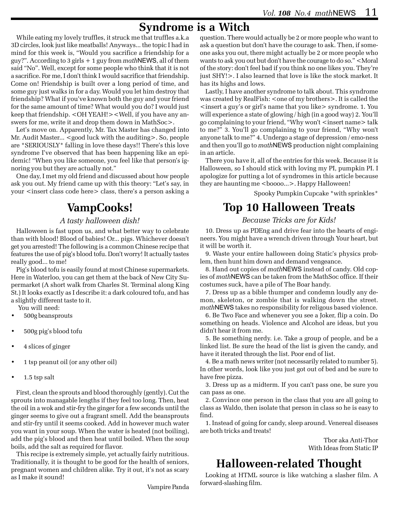# **Syndrome is a Witch**

While eating my lovely truffles, it struck me that truffles a.k.a 3D circles, look just like meatballs! Anyways... the topic I had in mind for this week is, "Would you sacrifice a friendship for a guy?". According to 3 girls + 1 guy from *math*NEWS, all of them said "No". Well, except for some people who think that it is not a sacrifice. For me, I don't think I would sacrifice that friendship. Come on! Friendship is built over a long period of time, and some guy just walks in for a day. Would you let him destroy that friendship? What if you've known both the guy and your friend for the same amount of time? What would you do? I would just keep that friendship. <OH YEAH!><Well, if you have any answers for me, write it and drop them down in MathSoc>.

Let's move on. Apparently, Mr. Tax Master has changed into Mr. Audit Master... <good luck with the auditing>. So, people are \*SERIOUSLY\* falling in love these days!! There's this love syndrome I've observed that has been happening like an epidemic! "When you like someone, you feel like that person's ignoring you but they are actually not."

One day, I met my old friend and discussed about how people ask you out. My friend came up with this theory: "Let's say, in your <insert class code here> class, there's a person asking a

# **VampCooks!**

#### *A tasty halloween dish!*

Halloween is fast upon us, and what better way to celebrate than with blood! Blood of babies! Or... pigs. Whichever doesn't get you arrested! The following is a common Chinese recipe that features the use of pig's blood tofu. Don't worry! It actually tastes really good... to me!

Pig's blood tofu is easily found at most Chinese supermarkets. Here in Waterloo, you can get them at the back of New City Supermarket (A short walk from Charles St. Terminal along King St.) It looks exactly as I describe it: a dark coloured tofu, and has a slightly different taste to it.

You will need:

- 500g beansprouts
- 500g pig's blood tofu
- 4 slices of ginger
- 1 tsp peanut oil (or any other oil)
- 1.5 tsp salt

First, clean the sprouts and blood thoroughly (gently). Cut the sprouts into managable lengths if they feel too long. Then, heat the oil in a wok and stir-fry the ginger for a few seconds until the ginger seems to give out a fragrant smell. Add the beansprouts and stir-fry until it seems cooked. Add in however much water you want in your soup. When the water is heated (not boiling), add the pig's blood and then heat until boiled. When the soup boils, add the salt as required for flavor.

This recipe is extremely simple, yet actually fairly nutritious. Traditionally, it is thought to be good for the health of seniors, pregnant women and children alike. Try it out, it's not as scary as I make it sound!

Vampire Panda

question. There would actually be 2 or more people who want to ask a question but don't have the courage to ask. Then, if someone asks you out, there might actually be 2 or more people who wants to ask you out but don't have the courage to do so." <Moral of the story: don't feel bad if you think no one likes you. They're just SHY!>. I also learned that love is like the stock market. It has its highs and lows.

Lastly, I have another syndrome to talk about. This syndrome was created by RealFish: < one of my brothers>. It is called the <insert a guy's or girl's name that you like> syndrome. 1. You will experience a state of glowing / high (in a good way) 2. You'll go complaining to your friend, "Why won't <insert name> talk to me?" 3. You'll go complaining to your friend, "Why won't anyone talk to me?" 4. Undergo a stage of depression / emo-ness and then you'll go to *math*NEWS production night complaining in an article.

There you have it, all of the entries for this week. Because it is Halloween, so I should stick with loving my PI, pumpkin PI. I apologize for putting a lot of syndromes in this article because they are haunting me <boooo...>. Happy Halloween!

Spooky Pumpkin Cupcake \*with sprinkles\*

# **Top 10 Halloween Treats**

#### *Because Tricks are for Kids!*

10. Dress up as PDEng and drive fear into the hearts of engineers. You might have a wrench driven through Your heart, but it will be worth it.

9. Waste your entire halloween doing Static's physics problem, then hunt him down and demand vengeance.

8. Hand out copies of *math*NEWS instead of candy. Old copies of *math*NEWS can be taken from the MathSoc office. If their costumes suck, have a pile of The Boar handy.

7. Dress up as a bible thumper and condemn loudly any demon, skeleton, or zombie that is walking down the street. *math*NEWS takes no responsibility for religous based violence.

6. Be Two Face and whenever you see a Joker, flip a coin. Do something on heads. Violence and Alcohol are ideas, but you didn't hear it from me.

5. Be something nerdy. i.e. Take a group of people, and be a linked list. Be sure the head of the list is given the candy, and have it iterated through the list. Poor end of list.

4. Be a math news writer (not necessarily related to number 5). In other words, look like you just got out of bed and be sure to have free pizza.

3. Dress up as a midterm. If you can't pass one, be sure you can pass as one.

2. Convince one person in the class that you are all going to class as Waldo, then isolate that person in class so he is easy to find.

1. Instead of going for candy, sleep around. Venereal diseases are both tricks and treats!

> Tbor aka Anti-Thor With Ideas from Static IP

# **Halloween-related Thought**

Looking at HTML source is like watching a slasher film. A forward-slashing film.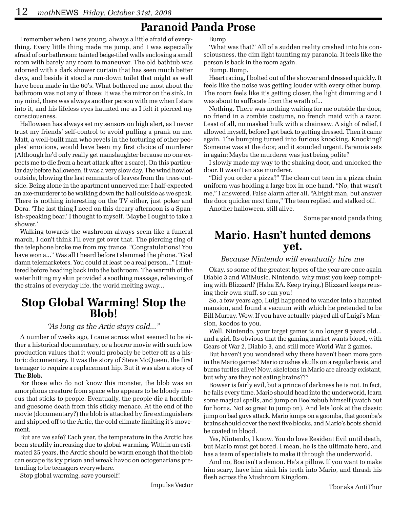# **Paranoid Panda Prose**

I remember when I was young, always a little afraid of everything. Every little thing made me jump, and I was especially afraid of our bathroom: tainted beige-tiled walls enclosing a small room with barely any room to maneuver. The old bathtub was adorned with a dark shower curtain that has seen much better days, and beside it stood a run-down toilet that might as well have been made in the 60's. What bothered me most about the bathroom was not any of those: It was the mirror on the sink. In my mind, there was always another person with me when I stare into it, and his lifeless eyes haunted me as I felt it pierced my consciousness.

Halloween has always set my sensors on high alert, as I never trust my friends' self-control to avoid pulling a prank on me. Matt, a well-built man who revels in the torturing of other peoples' emotions, would have been my first choice of murderer (Although he'd only really get manslaughter because no one expects me to die from a heart attack after a scare). On this particular day before halloween, it was a very slow day. The wind howled outside, blowing the last remnants of leaves from the trees outside. Being alone in the apartment unnerved me: I half-expected an axe-murderer to be walking down the hall outside as we speak. There is nothing interesting on the TV either, just poker and Dora. 'The last thing I need on this dreary afternoon is a Spanish-speaking bear,' I thought to myself. 'Maybe I ought to take a shower.'

Walking towards the washroom always seem like a funeral march, I don't think I'll ever get over that. The piercing ring of the telephone broke me from my trance. "Congratulations! You have won a..." Was all I heard before I slammed the phone. "God damn telemarketers. You could at least be a real person..." I muttered before heading back into the bathroom. The warmth of the water hitting my skin provided a soothing massage, relieving of the strains of everyday life, the world melting away...

# **Stop Global Warming! Stop the Blob!**

#### *"As long as the Artic stays cold..."*

A number of weeks ago, I came across what seemed to be either a historical documentary, or a horror movie with such low production values that it would probably be better off as a historic documentary. It was the story of Steve McQueen, the first teenager to require a replacement hip. But it was also a story of **The Blob.**

For those who do not know this monster, the blob was an amorphous creature from space who appears to be bloody mucus that sticks to people. Eventually, the people die a horrible and guesome death from this sticky menace. At the end of the movie (documentary?) the blob is attacked by fire extinguishers and shipped off to the Artic, the cold climate limiting it's movement.

But are we safe? Each year, the temperature in the Arctic has been steadily increasing due to global warming. Within an estimated 25 years, the Arctic should be warm enough that the blob can escape its icy prison and wreak havoc on octogenarians pretending to be teenagers everywhere.

Stop global warming, save yourself!

'What was that?' All of a sudden reality crashed into his consciousness, the dim light taunting my paranoia. It feels like the person is back in the room again.

Bump. Bump.

Heart racing, I bolted out of the shower and dressed quickly. It feels like the noise was getting louder with every other bump. The room feels like it's getting closer, the light dimming and I was about to suffocate from the wrath of...

Nothing. There was nothing waiting for me outside the door, no friend in a zombie costume, no french maid with a razor. Least of all, no masked hulk with a chainsaw. A sigh of relief, I allowed myself, before I got back to getting dressed. Then it came again. The bumping turned into furious knocking. Knocking? Someone was at the door, and it sounded urgent. Paranoia sets in again: Maybe the murderer was just being polite?

I slowly made my way to the shaking door, and unlocked the door. It wasn't an axe murderer.

"Did you order a pizza?" The clean cut teen in a pizza chain uniform was holding a large box in one hand. "No, that wasn't me," I answered. False alarm after all. "Alright man, but answer the door quicker next time," The teen replied and stalked off.

Another halloween, still alive.

Some paranoid panda thing

### **Mario. Hasn't hunted demons yet.**

#### *Because Nintendo will eventually hire me*

Okay, so some of the greatest hypes of the year are once again Diablo 3 and WiiMusic. Nintendo, why must you keep competing with Blizzard? (Haha EA. Keep trying.) Blizzard keeps reusing their own stuff, so can you!

So, a few years ago, Luigi happened to wander into a haunted mansion, and found a vacuum with which he pretended to be Bill Murray. Wow. If you have actually played all of Luigi's Mansion, koodos to you.

Well, Nintendo, your target gamer is no longer 9 years old... and a girl. Its obvious that the gaming market wants blood, with Gears of War 2, Diablo 3, and still more World War 2 games.

But haven't you wondered why there haven't been more gore in the Mario games? Mario crushes skulls on a regular basis, and burns turtles alive! Now, skeletons in Mario are already existant, but why are they not eating brains???

Bowser is fairly evil, but a prince of darkness he is not. In fact, he fails every time. Mario should head into the underworld, learn some magical spells, and jump on Beelzebub himself (watch out for horns. Not so great to jump on). And lets look at the classic jump on bad guys attack. Mario jumps on a goomba, that goomba's brains should cover the next five blocks, and Mario's boots should be coated in blood.

Yes, Nintendo, I know. You do love Resident Evil until death, but Mario must get bored. I mean, he is the ultimate hero, and has a team of specialists to make it through the underworld.

And no, Boo isn't a demon. He's a pillow. If you want to make him scary, have him sink his teeth into Mario, and thrash his flesh across the Mushroom Kingdom.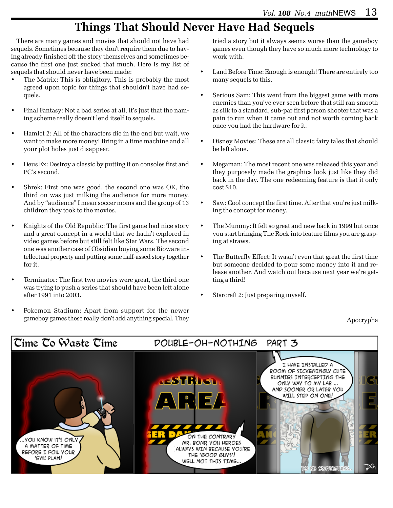# **Things That Should Never Have Had Sequels**

There are many games and movies that should not have had sequels. Sometimes because they don't require them due to having already finished off the story themselves and sometimes because the first one just sucked that much. Here is my list of sequels that should never have been made:

- The Matrix: This is obligitory. This is probably the most agreed upon topic for things that shouldn't have had sequels.
- Final Fantasy: Not a bad series at all, it's just that the naming scheme really doesn't lend itself to sequels.
- Hamlet 2: All of the characters die in the end but wait, we want to make more money! Bring in a time machine and all your plot holes just disappear.
- Deus Ex: Destroy a classic by putting it on consoles first and PC's second.
- Shrek: First one was good, the second one was OK, the third on was just milking the audience for more money. And by "audience" I mean soccer moms and the group of 13 children they took to the movies.
- Knights of the Old Republic: The first game had nice story and a great concept in a world that we hadn't explored in video games before but still felt like Star Wars. The second one was another case of Obsidian buying some Bioware intellectual property and putting some half-assed story together for it.
- Terminator: The first two movies were great, the third one was trying to push a series that should have been left alone after 1991 into 2003.
- Pokemon Stadium: Apart from support for the newer gameboy games these really don't add anything special. They

tried a story but it always seems worse than the gameboy games even though they have so much more technology to work with.

- Land Before Time: Enough is enough! There are entirely too many sequels to this.
- Serious Sam: This went from the biggest game with more enemies than you've ever seen before that still ran smooth as silk to a standard, sub-par first person shooter that was a pain to run when it came out and not worth coming back once you had the hardware for it.
- Disney Movies: These are all classic fairy tales that should be left alone.
- Megaman: The most recent one was released this year and they purposely made the graphics look just like they did back in the day. The one redeeming feature is that it only cost \$10.
- Saw: Cool concept the first time. After that you're just milking the concept for money.
- The Mummy: It felt so great and new back in 1999 but once you start bringing The Rock into feature films you are grasping at straws.
- The Butterfly Effect: It wasn't even that great the first time but someone decided to pour some money into it and release another. And watch out because next year we're getting a third!
- Starcraft 2: Just preparing myself.

Apocrypha